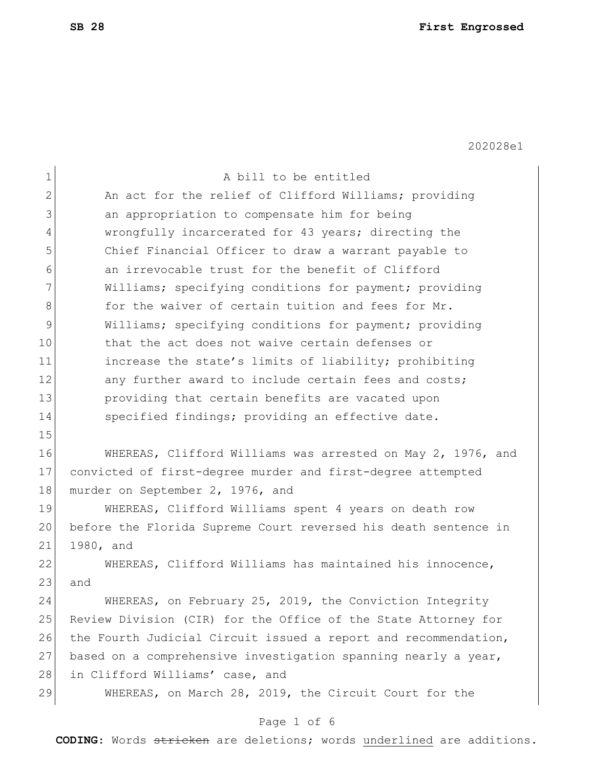| $\mathbf 1$   | A bill to be entitled                                           |
|---------------|-----------------------------------------------------------------|
| $\mathbf{2}$  | An act for the relief of Clifford Williams; providing           |
| 3             | an appropriation to compensate him for being                    |
| 4             | wrongfully incarcerated for 43 years; directing the             |
| 5             | Chief Financial Officer to draw a warrant payable to            |
| 6             | an irrevocable trust for the benefit of Clifford                |
| 7             | Williams; specifying conditions for payment; providing          |
| 8             | for the waiver of certain tuition and fees for Mr.              |
| $\mathcal{G}$ | Williams; specifying conditions for payment; providing          |
| 10            | that the act does not waive certain defenses or                 |
| 11            | increase the state's limits of liability; prohibiting           |
| 12            | any further award to include certain fees and costs;            |
| 13            | providing that certain benefits are vacated upon                |
| 14            | specified findings; providing an effective date.                |
| 15            |                                                                 |
| 16            | WHEREAS, Clifford Williams was arrested on May 2, 1976, and     |
| 17            | convicted of first-degree murder and first-degree attempted     |
| 18            | murder on September 2, 1976, and                                |
| 19            | WHEREAS, Clifford Williams spent 4 years on death row           |
| 20            | before the Florida Supreme Court reversed his death sentence in |
| 21            | 1980, and                                                       |
| 22            | WHEREAS, Clifford Williams has maintained his innocence,        |
| 23            | and                                                             |
| 24            | WHEREAS, on February 25, 2019, the Conviction Integrity         |
| 25            | Review Division (CIR) for the Office of the State Attorney for  |
| 26            | the Fourth Judicial Circuit issued a report and recommendation, |
| 27            | based on a comprehensive investigation spanning nearly a year,  |
| 28            | in Clifford Williams' case, and                                 |
| 29            | WHEREAS, on March 28, 2019, the Circuit Court for the           |
|               |                                                                 |

# Page 1 of 6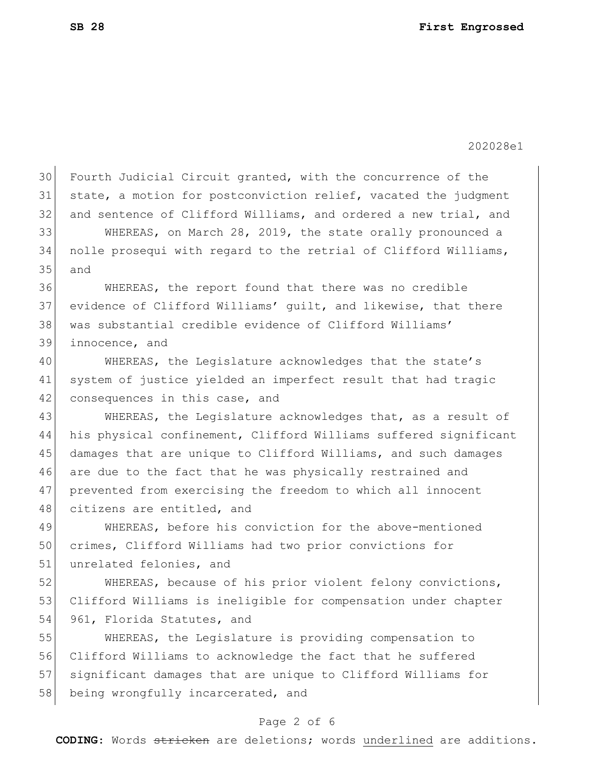30 Fourth Judicial Circuit granted, with the concurrence of the state, a motion for postconviction relief, vacated the judgment and sentence of Clifford Williams, and ordered a new trial, and WHEREAS, on March 28, 2019, the state orally pronounced a nolle prosequi with regard to the retrial of Clifford Williams, and WHEREAS, the report found that there was no credible evidence of Clifford Williams' guilt, and likewise, that there was substantial credible evidence of Clifford Williams' innocence, and WHEREAS, the Legislature acknowledges that the state's system of justice yielded an imperfect result that had tragic 42 consequences in this case, and 43 WHEREAS, the Legislature acknowledges that, as a result of his physical confinement, Clifford Williams suffered significant damages that are unique to Clifford Williams, and such damages are due to the fact that he was physically restrained and prevented from exercising the freedom to which all innocent 48 citizens are entitled, and WHEREAS, before his conviction for the above-mentioned crimes, Clifford Williams had two prior convictions for 51 unrelated felonies, and 52 WHEREAS, because of his prior violent felony convictions, Clifford Williams is ineligible for compensation under chapter 54 961, Florida Statutes, and WHEREAS, the Legislature is providing compensation to Clifford Williams to acknowledge the fact that he suffered significant damages that are unique to Clifford Williams for 58 being wrongfully incarcerated, and

## Page 2 of 6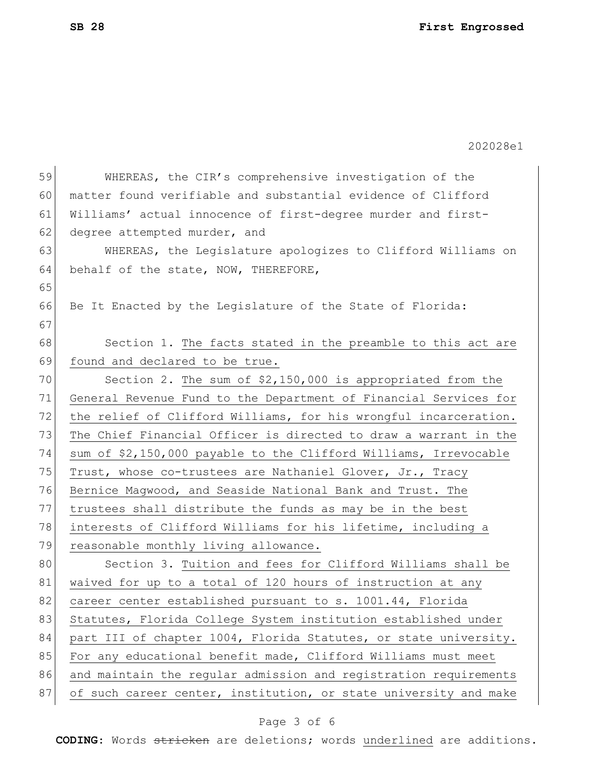202028e1 59 WHEREAS, the CIR's comprehensive investigation of the 60 matter found verifiable and substantial evidence of Clifford 61 Williams' actual innocence of first-degree murder and first-62 degree attempted murder, and 63 WHEREAS, the Legislature apologizes to Clifford Williams on 64 behalf of the state, NOW, THEREFORE, 65 66 Be It Enacted by the Legislature of the State of Florida: 67 68 Section 1. The facts stated in the preamble to this act are 69 found and declared to be true. 70 Section 2. The sum of \$2,150,000 is appropriated from the 71 General Revenue Fund to the Department of Financial Services for 72 the relief of Clifford Williams, for his wrongful incarceration. 73 The Chief Financial Officer is directed to draw a warrant in the 74 sum of \$2,150,000 payable to the Clifford Williams, Irrevocable 75 Trust, whose co-trustees are Nathaniel Glover, Jr., Tracy 76 Bernice Magwood, and Seaside National Bank and Trust. The 77 trustees shall distribute the funds as may be in the best 78 interests of Clifford Williams for his lifetime, including a 79 reasonable monthly living allowance. 80 Section 3. Tuition and fees for Clifford Williams shall be 81 waived for up to a total of 120 hours of instruction at any 82 career center established pursuant to s. 1001.44, Florida 83 Statutes, Florida College System institution established under 84 part III of chapter 1004, Florida Statutes, or state university. 85 For any educational benefit made, Clifford Williams must meet 86 and maintain the regular admission and registration requirements 87 of such career center, institution, or state university and make

## Page 3 of 6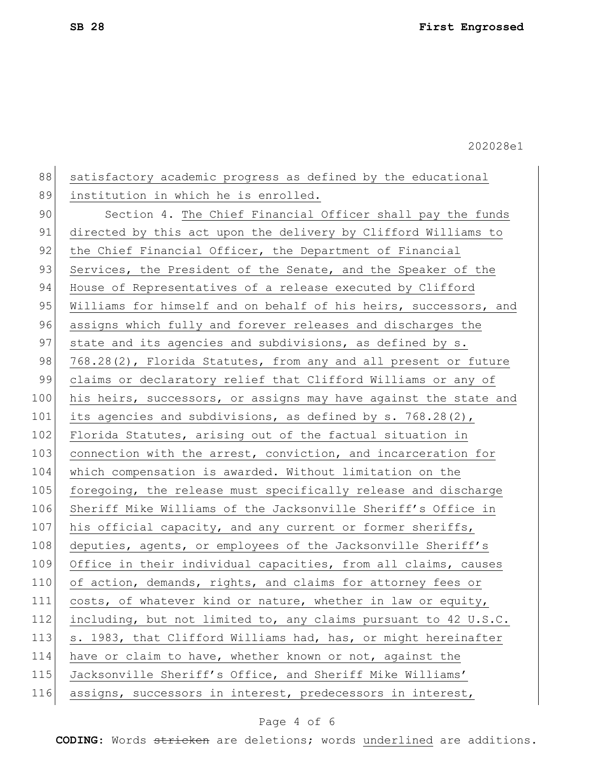88 satisfactory academic progress as defined by the educational 89 institution in which he is enrolled. 90 Section 4. The Chief Financial Officer shall pay the funds 91 directed by this act upon the delivery by Clifford Williams to 92 the Chief Financial Officer, the Department of Financial 93 Services, the President of the Senate, and the Speaker of the 94 House of Representatives of a release executed by Clifford 95 Williams for himself and on behalf of his heirs, successors, and 96 assigns which fully and forever releases and discharges the 97 state and its agencies and subdivisions, as defined by s. 98 768.28(2), Florida Statutes, from any and all present or future 99 claims or declaratory relief that Clifford Williams or any of 100 his heirs, successors, or assigns may have against the state and 101 its agencies and subdivisions, as defined by s. 768.28(2), 102 Florida Statutes, arising out of the factual situation in 103 connection with the arrest, conviction, and incarceration for 104 which compensation is awarded. Without limitation on the 105 foregoing, the release must specifically release and discharge 106 Sheriff Mike Williams of the Jacksonville Sheriff's Office in 107 his official capacity, and any current or former sheriffs, 108 deputies, agents, or employees of the Jacksonville Sheriff's 109 Office in their individual capacities, from all claims, causes 110 of action, demands, rights, and claims for attorney fees or 111 costs, of whatever kind or nature, whether in law or equity, 112 including, but not limited to, any claims pursuant to 42 U.S.C. 113 s. 1983, that Clifford Williams had, has, or might hereinafter 114 have or claim to have, whether known or not, against the 115 Jacksonville Sheriff's Office, and Sheriff Mike Williams' 116 assigns, successors in interest, predecessors in interest,

### Page 4 of 6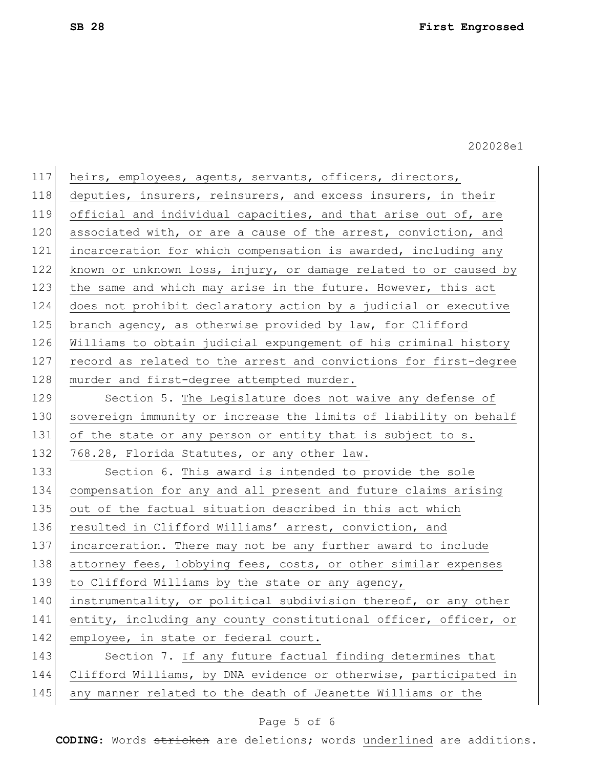| 117 | heirs, employees, agents, servants, officers, directors,         |
|-----|------------------------------------------------------------------|
| 118 | deputies, insurers, reinsurers, and excess insurers, in their    |
| 119 | official and individual capacities, and that arise out of, are   |
| 120 | associated with, or are a cause of the arrest, conviction, and   |
| 121 | incarceration for which compensation is awarded, including any   |
| 122 | known or unknown loss, injury, or damage related to or caused by |
| 123 | the same and which may arise in the future. However, this act    |
| 124 | does not prohibit declaratory action by a judicial or executive  |
| 125 | branch agency, as otherwise provided by law, for Clifford        |
| 126 | Williams to obtain judicial expungement of his criminal history  |
| 127 | record as related to the arrest and convictions for first-degree |
| 128 | murder and first-degree attempted murder.                        |
| 129 | Section 5. The Legislature does not waive any defense of         |
| 130 | sovereign immunity or increase the limits of liability on behalf |
| 131 | of the state or any person or entity that is subject to s.       |
| 132 | 768.28, Florida Statutes, or any other law.                      |
| 133 | Section 6. This award is intended to provide the sole            |
| 134 | compensation for any and all present and future claims arising   |
| 135 | out of the factual situation described in this act which         |
| 136 | resulted in Clifford Williams' arrest, conviction, and           |
| 137 | incarceration. There may not be any further award to include     |
| 138 | attorney fees, lobbying fees, costs, or other similar expenses   |
| 139 | to Clifford Williams by the state or any agency,                 |
| 140 | instrumentality, or political subdivision thereof, or any other  |
| 141 | entity, including any county constitutional officer, officer, or |
| 142 | employee, in state or federal court.                             |
| 143 | Section 7. If any future factual finding determines that         |
| 144 | Clifford Williams, by DNA evidence or otherwise, participated in |
| 145 | any manner related to the death of Jeanette Williams or the      |

# Page 5 of 6